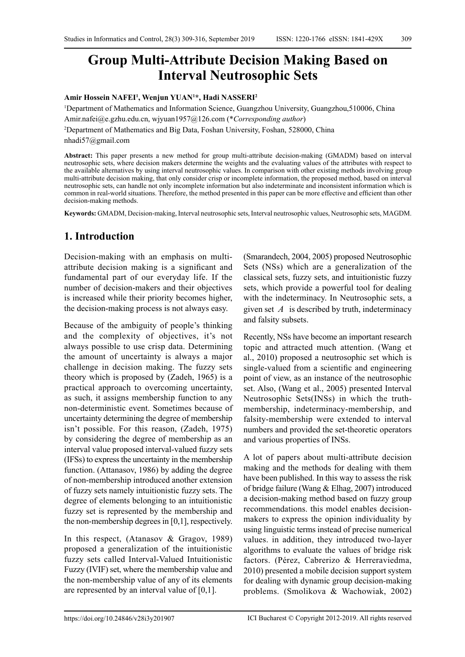# **Group Multi-Attribute Decision Making Based on Interval Neutrosophic Sets**

#### **Amir Hossein NAFEI1 , Wenjun YUAN1 \*, Hadi NASSERI2**

1 Department of Mathematics and Information Science, Guangzhou University, Guangzhou,510006, China Amir.nafei@e.gzhu.edu.cn, wjyuan1957@126.com (\**Corresponding author*)

2 Department of Mathematics and Big Data, Foshan University, Foshan, 528000, China

nhadi57@gmail.com

**Abstract:** This paper presents a new method for group multi-attribute decision-making (GMADM) based on interval neutrosophic sets, where decision makers determine the weights and the evaluating values of the attributes with respect to the available alternatives by using interval neutrosophic values. In comparison with other existing methods involving group multi-attribute decision making, that only consider crisp or incomplete information, the proposed method, based on interval neutrosophic sets, can handle not only incomplete information but also indeterminate and inconsistent information which is common in real-world situations. Therefore, the method presented in this paper can be more effective and efficient than other decision-making methods.

**Keywords:** GMADM, Decision-making, Interval neutrosophic sets, Interval neutrosophic values, Neutrosophic sets, MAGDM.

# **1. Introduction**

Decision-making with an emphasis on multiattribute decision making is a significant and fundamental part of our everyday life. If the number of decision-makers and their objectives is increased while their priority becomes higher, the decision-making process is not always easy.

Because of the ambiguity of people's thinking and the complexity of objectives, it's not always possible to use crisp data. Determining the amount of uncertainty is always a major challenge in decision making. The fuzzy sets theory which is proposed by (Zadeh, 1965) is a practical approach to overcoming uncertainty, as such, it assigns membership function to any non-deterministic event. Sometimes because of uncertainty determining the degree of membership isn't possible. For this reason, (Zadeh, 1975) by considering the degree of membership as an interval value proposed interval-valued fuzzy sets (IFSs) to express the uncertainty in the membership function. (Attanasov, 1986) by adding the degree of non-membership introduced another extension of fuzzy sets namely intuitionistic fuzzy sets. The degree of elements belonging to an intuitionistic fuzzy set is represented by the membership and the non-membership degrees in [0,1], respectively.

In this respect, (Atanasov & Gragov, 1989) proposed a generalization of the intuitionistic fuzzy sets called Interval-Valued Intuitionistic Fuzzy (IVIF) set, where the membership value and the non-membership value of any of its elements are represented by an interval value of [0,1].

(Smarandech, 2004, 2005) proposed Neutrosophic Sets (NSs) which are a generalization of the classical sets, fuzzy sets, and intuitionistic fuzzy sets, which provide a powerful tool for dealing with the indeterminacy. In Neutrosophic sets, a given set  $A$  is described by truth, indeterminacy and falsity subsets.

Recently, NSs have become an important research topic and attracted much attention. (Wang et al., 2010) proposed a neutrosophic set which is single-valued from a scientific and engineering point of view, as an instance of the neutrosophic set. Also, (Wang et al., 2005) presented Interval Neutrosophic Sets(INSs) in which the truthmembership, indeterminacy-membership, and falsity-membership were extended to interval numbers and provided the set-theoretic operators and various properties of INSs.

A lot of papers about multi-attribute decision making and the methods for dealing with them have been published. In this way to assess the risk of bridge failure (Wang & Elhag, 2007) introduced a decision-making method based on fuzzy group recommendations. this model enables decisionmakers to express the opinion individuality by using linguistic terms instead of precise numerical values. in addition, they introduced two-layer algorithms to evaluate the values of bridge risk factors. (Pérez, Cabrerizo & Herreraviedma, 2010) presented a mobile decision support system for dealing with dynamic group decision-making problems. (Smolikova & Wachowiak, 2002)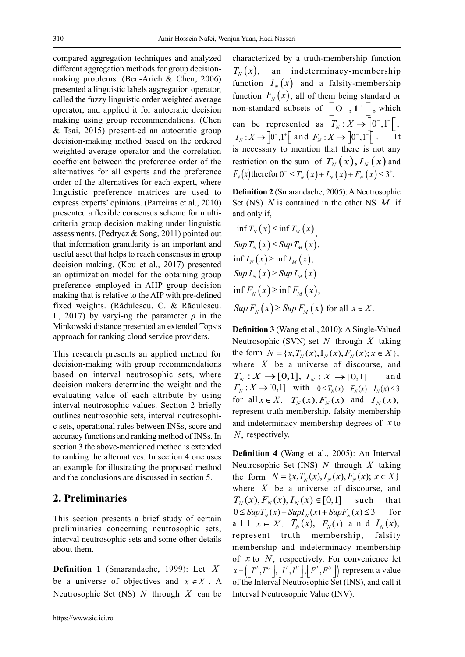compared aggregation techniques and analyzed different aggregation methods for group decisionmaking problems. (Ben-Arieh & Chen, 2006) presented a linguistic labels aggregation operator, called the fuzzy linguistic order weighted average operator, and applied it for autocratic decision making using group recommendations. (Chen & Tsai, 2015) present-ed an autocratic group decision-making method based on the ordered weighted average operator and the correlation coefficient between the preference order of the alternatives for all experts and the preference order of the alternatives for each expert, where linguistic preference matrices are used to express experts' opinions. (Parreiras et al., 2010) presented a flexible consensus scheme for multicriteria group decision making under linguistic assessments. (Pedrycz & Song, 2011) pointed out that information granularity is an important and useful asset that helps to reach consensus in group decision making. (Kou et al., 2017) presented an optimization model for the obtaining group preference employed in AHP group decision making that is relative to the AIP with pre-defined fixed weights. (Rădulescu. C. & Rădulescu. I., 2017) by varyi-ng the parameter  $\rho$  in the Minkowski distance presented an extended Topsis approach for ranking cloud service providers.

This research presents an applied method for decision-making with group recommendations based on interval neutrosophic sets, where decision makers determine the weight and the evaluating value of each attribute by using interval neutrosophic values. Section 2 briefly outlines neutrosophic sets, interval neutrosophic sets, operational rules between INSs, score and accuracy functions and ranking method of INSs. In section 3 the above-mentioned method is extended to ranking the alternatives. In section 4 one uses an example for illustrating the proposed method and the conclusions are discussed in section 5.

### **2. Preliminaries**

This section presents a brief study of certain preliminaries concerning neutrosophic sets, interval neutrosophic sets and some other details about them.

**Definition 1** (Smarandache, 1999): Let *X* be a universe of objectives and  $x \in X$ . A Neutrosophic Set (NS) *N* through *X* can be

characterized by a truth-membership function  $T_{N}(x)$ , an indeterminacy-membership function  $I_N(x)$  and a falsity-membership function  $F_N(x)$ , all of them being standard or non-standard subsets of  $\overline{0}^-, 1^+$ , which can be represented as  $T_N: X \to [0^-, 1^+]$ ,  $I_N: X \to \left] 0^-, 1^+ \right[$  and  $F_N: X \to \left] 0^-, 1^+ \right[$ . It is necessary to mention that there is not any restriction on the sum of  $T_N(x)$ ,  $I_N(x)$  and  $F_N(x)$  therefor  $0^- \le T_N(x) + I_N(x) + F_N(x) \le 3^+$ .

**Definition 2** (Smarandache, 2005): A Neutrosophic Set (NS) *N* is contained in the other NS *M* if and only if,

$$
\inf T_N(x) \le \inf T_M(x),
$$
  
\n
$$
Sup T_N(x) \le Sup T_M(x),
$$
  
\n
$$
\inf I_N(x) \ge \inf I_M(x),
$$
  
\n
$$
Sup I_N(x) \ge Sup I_M(x)
$$
  
\n
$$
\inf F_N(x) \ge \inf F_M(x),
$$
  
\n
$$
Sup F_N(x) \ge Sup F_M(x) \text{ for all } x \in X.
$$

**Definition 3** (Wang et al., 2010): A Single-Valued Neutrosophic (SVN) set *N* through *X* taking the form  $N = \{x, T_N(x), I_N(x), F_N(x); x \in X\},$ where *X* be a universe of discourse, and  $T_N: X \to [0,1], I_N: X \to [0,1]$  and  $F_N: X \to [0,1]$  with  $0 \le T_N(x) + F_N(x) + I_N(x) \le 3$ for all  $x \in X$ .  $T_N(x)$ ,  $F_N(x)$  and  $I_N(x)$ , represent truth membership, falsity membership and indeterminacy membership degrees of *x* to *N*, respectively.

**Definition 4** (Wang et al., 2005): An Interval Neutrosophic Set (INS) *N* through *X* taking the form  $N = \{x, T_{N}(x), I_{N}(x), F_{N}(x); x \in X\}$ where *X* be a universe of discourse, and  $T_{N}( x ), F_{N}( x ), I_{N}( x ) \in [0,1]$  such that  $0 \leq Sup T_N(x) + Sup I_N(x) + Sup F_N(x) \leq 3$  for all  $x \in X$ .  $T_N(x)$ ,  $F_N(x)$  and  $I_N(x)$ , represent truth membership, falsity membership and indeterminacy membership of *x* to *N*, respectively. For convenience let  $x = (\int T^L, T^U \cdot \int I^L, I^U \cdot \int I^U, I^U \cdot \int I^U)$  represent a value of the Interval Neutrosophic Set (INS), and call it Interval Neutrosophic Value (INV).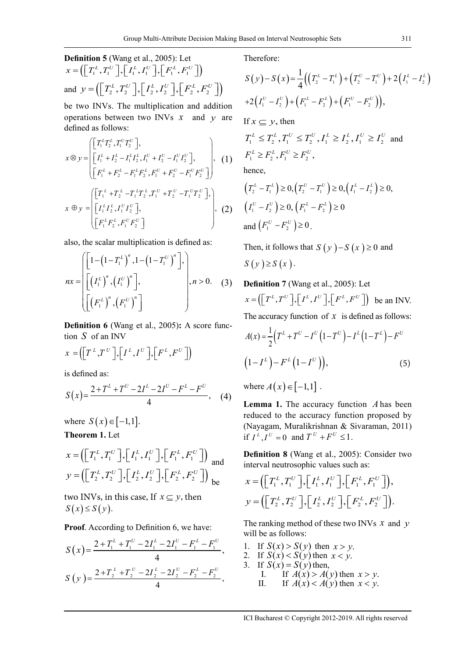be two INVs. The multiplication and addition operations between two INVs *x* and *y* are defined as follows:

$$
x \otimes y = \begin{pmatrix} \begin{bmatrix} T_1^L T_2^L, T_1^U T_2^U \end{bmatrix}, \\ \begin{bmatrix} I_1^L + I_2^L - I_1^L I_2^L, I_1^U + I_2^U - I_1^U I_2^U \end{bmatrix}, \\ \begin{bmatrix} F_1^L + F_2^L - F_1^L F_2^L, F_1^U + F_2^U - F_1^U F_2^U \end{bmatrix} \end{pmatrix}, (1)
$$

$$
x \oplus y = \begin{pmatrix} \begin{bmatrix} T_1^L + T_2^L - T_1^L T_2^L, T_1^U + T_2^U - T_1^U T_2^U \end{bmatrix}, \\ \begin{bmatrix} F_1^L F_2^L, F_1^U F_2^U \end{bmatrix}, \end{pmatrix}, (2)
$$

also, the scalar multiplication is defined as:

$$
nx = \begin{bmatrix} \left[1 - \left(1 - T_1^L\right)^n, 1 - \left(1 - T_1^U\right)^n\right], \\ \left[\left(I_1^L\right)^n, \left(I_1^U\right)^n\right], \\ \left[\left(F_1^L\right)^n, \left(F_1^U\right)^n\right] \end{bmatrix}, n > 0. \quad (3)
$$

**Definition 6** (Wang et al., 2005)**:** A score function *S* of an INV

$$
x = \left( \left[ T^L, T^U \right], \left[ I^L, I^U \right], \left[ F^L, F^U \right] \right)
$$

is defined as:

$$
S(x) = \frac{2 + T^{L} + T^{U} - 2I^{L} - 2I^{U} - F^{L} - F^{U}}{4}, \quad (4)
$$

where  $S(x) \in [-1,1]$ . **Theorem 1.** Let

$$
x = \left(\left[T_1^L, T_1^U\right], \left[I_1^L, I_1^U\right], \left[F_1^L, F_1^U\right]\right) \text{ and}
$$

$$
y = \left(\left[T_2^L, T_2^U\right], \left[I_2^L, I_2^U\right], \left[F_2^L, F_2^U\right]\right) \text{ be}
$$

two INVs, in this case, If  $x \subseteq y$ , then  $S(x) \leq S(y)$ .

**Proof**. According to Definition 6, we have:

$$
S(x) = \frac{2 + T_1^L + T_1^U - 2I_1^L - 2I_1^U - F_1^L - F_1^U}{4},
$$
  
\n
$$
S(y) = \frac{2 + T_2^L + T_2^U - 2I_2^L - 2I_2^U - F_2^L - F_2^U}{4},
$$

Therefore:

$$
S(y) - S(x) = \frac{1}{4} ((T_2^L - T_1^L) + (T_2^U - T_1^U) + 2(I_1^L - I_2^L))
$$
  
+2(I\_1^U - I\_2^U) + (F\_1^L - F\_2^L) + (F\_1^U - F\_2^U)),  
If  $x \subseteq y$ , then

$$
T_1^L \le T_2^L, T_1^U \le T_2^U, I_1^L \ge I_2^L, I_1^U \ge I_2^U \text{ and }
$$
  

$$
F_1^L \ge F_2^L, F_1^U \ge F_2^U,
$$

hence,

$$
\left(T_2^L - T_1^L\right) \ge 0, \left(T_2^U - T_1^U\right) \ge 0, \left(T_1^L - T_2^L\right) \ge 0,
$$
\n
$$
\left(T_1^U - T_2^U\right) \ge 0, \left(F_1^L - F_2^L\right) \ge 0
$$
\nand\n
$$
\left(F_1^U - F_2^U\right) \ge 0.
$$

Then, it follows that  $S(y) - S(x) \ge 0$  and  $S(y) \geq S(x)$ .

(3) **Definition 7** (Wang et al., 2005): Let  $x = \left( \left[ T^L, T^U \right], \left[ I^L, I^U \right], \left[ F^L, F^U \right] \right)$  be an INV. The accuracy function of  $x$  is defined as follows:

$$
A(x) = \frac{1}{2} (T^{L} + T^{U} - I^{U} (1 - T^{U}) - I^{L} (1 - T^{L}) - F^{U}
$$
  

$$
(1 - I^{L}) - F^{L} (1 - I^{U}), \qquad (5)
$$

where  $A(x) \in [-1,1]$ .

**Lemma 1.** The accuracy function *A* has been reduced to the accuracy function proposed by (Nayagam, Muralikrishnan & Sivaraman, 2011) if  $I^{L}$ ,  $I^{U} = 0$  and  $T^{U} + F^{U} \leq 1$ .

**Definition 8** (Wang et al., 2005): Consider two interval neutrosophic values such as:

$$
x = \left( \begin{bmatrix} T_1^L, T_1^U \end{bmatrix}, \begin{bmatrix} I_1^L, I_1^U \end{bmatrix}, \begin{bmatrix} F_1^L, F_1^U \end{bmatrix} \right),
$$
  

$$
y = \left( \begin{bmatrix} T_2^L, T_2^U \end{bmatrix}, \begin{bmatrix} I_2^L, I_2^U \end{bmatrix}, \begin{bmatrix} F_2^L, F_2^U \end{bmatrix} \right).
$$

The ranking method of these two INVs *x* and *y* will be as follows:

- 1. If  $S(x) > S(y)$  then  $x > y$ .
- 2. If  $S(x) < S(y)$  then  $x < y$ .
- 3. If  $S(x) = S(y)$  then,
	- I. If  $A(x) > A(y)$  then  $x > y$ .<br>II. If  $A(x) < A(y)$  then  $x < y$ .
	- If  $A(x) < A(y)$  then  $x < y$ .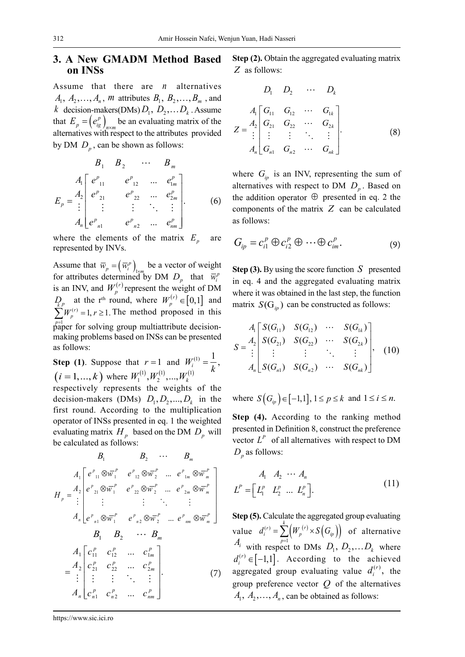# **3. A New GMADM Method Based on INSs**

Assume that there are *n* alternatives  $A_1, A_2, \ldots, A_n, m$  attributes  $B_1, B_2, \ldots, B_m$ , and *k* decision-makers(DMs)  $D_1$ ,  $D_2$ , ...  $D_k$ . Assume that  $E_p = (e_{ig}^p)_{n \times m}$  be an evaluating matrix of the alternatives with respect to the attributes provided by DM  $D_p$ , can be shown as follows:

$$
B_{1} \t B_{2} \t \cdots \t B_{m}
$$
\n
$$
A_{1} \begin{bmatrix} e^{p}_{11} & e^{p}_{12} & \cdots & e^{p}_{1m} \\ e^{p}_{21} & e^{p}_{22} & \cdots & e^{p}_{2m} \\ \vdots & \vdots & \vdots & \ddots & \vdots \\ e^{p}_{n1} & e^{p}_{n2} & \cdots & e^{p}_{nm} \end{bmatrix}.
$$
\n(6)

where the elements of the matrix  $E_n$  are represented by INVs.

Assume that  $\overline{w}_p = (\overline{w}_i^p)_{1 \times m}$  be a vector of weight for attributes determined by DM  $D_p$  that  $\overline{w}_i^p$ is an INV, and  $W_p^{(r)}$  represent the weight of DM  $D_{\mathbf{k}p}$  at the r<sup>th</sup> round, where  $W_p^{(r)} \in [0,1]$  and  $\sum W_p^{(r)} = 1, r \ge 1$ . The method proposed in this  $p_{\text{ap}}^{\text{p=1}}$  for solving group multiattribute decisionmaking problems based on INSs can be presented as follows:

**Step (1)**. Suppose that  $r = 1$  and  $W_i^{(1)} = \frac{1}{k}$ ,  $(i = 1, ..., k)$  where  $W_1^{(1)}, W_2^{(1)}, ..., W_k^{(1)}$ respectively represents the weights of the decision-makers (DMs)  $D_1, D_2, ..., D_k$  in the first round. According to the multiplication operator of INSs presented in eq. 1 the weighted evaluating matrix  $H_p$  based on the DM  $D_p$  will be calculated as follows:

$$
B_{1} \t B_{2} \t \cdots \t B_{m}
$$
\n
$$
A_{1} \begin{bmatrix} e^{p}_{11} \otimes \overline{w}_{1}^{P} & e^{p}_{12} \otimes \overline{w}_{2}^{P} & \dots & e^{p}_{1m} \otimes \overline{w}_{m}^{P} \\ e^{p}_{21} \otimes \overline{w}_{1}^{P} & e^{p}_{22} \otimes \overline{w}_{2}^{P} & \dots & e^{p}_{2m} \otimes \overline{w}_{m}^{P} \\ \vdots & \vdots & \vdots & \ddots & \vdots \\ e^{p}_{n1} \otimes \overline{w}_{1}^{P} & e^{p}_{n2} \otimes \overline{w}_{2}^{P} & \dots & e^{p}_{nm} \otimes \overline{w}_{m}^{P} \end{bmatrix}
$$
\n
$$
B_{1} \t B_{2} \t \cdots \t B_{m}
$$
\n
$$
A_{1} \begin{bmatrix} c_{11}^{P} & c_{12}^{P} & \dots & c_{1m}^{P} \\ c_{21}^{P} & c_{22}^{P} & \dots & c_{2m}^{P} \\ \vdots & \vdots & \vdots & \ddots & \vdots \\ c_{n1}^{P} & c_{n2}^{P} & \dots & c_{nm}^{P} \end{bmatrix}
$$
\n
$$
A_{n} \begin{bmatrix} c_{11}^{P} & c_{12}^{P} & \dots & c_{2m}^{P} \\ c_{n1}^{P} & c_{n2}^{P} & \dots & c_{nm}^{P} \end{bmatrix}
$$
\n(7)

**Step (2).** Obtain the aggregated evaluating matrix *Z* as follows:

$$
D_1 \quad D_2 \quad \cdots \quad D_k
$$
\n
$$
Z = \begin{bmatrix} A_1 \\ A_2 \\ \vdots \\ A_n \end{bmatrix} \begin{bmatrix} G_{11} & G_{12} & \cdots & G_{1k} \\ G_{21} & G_{22} & \cdots & G_{2k} \\ \vdots & \vdots & \ddots & \vdots \\ G_{n1} & G_{n2} & \cdots & G_{nk} \end{bmatrix} .
$$
\n(8)

where  $G_{in}$  is an INV, representing the sum of alternatives with respect to DM  $D_n$ . Based on the addition operator  $\oplus$  presented in eq. 2 the components of the matrix *Z* can be calculated as follows:

$$
G_{ip} = c_{i1}^p \oplus c_{i2}^p \oplus \cdots \oplus c_{im}^p.
$$
 (9)

**Step** (3). By using the score function  $S$  presented in eq. 4 and the aggregated evaluating matrix where it was obtained in the last step, the function matrix  $S(G_{in})$  can be constructed as follows:

$$
S = \begin{bmatrix} A_1 \begin{bmatrix} S(G_{11}) & S(G_{12}) & \cdots & S(G_{1k}) \\ S(G_{21}) & S(G_{22}) & \cdots & S(G_{2k}) \\ \vdots & \vdots & \ddots & \vdots \\ S(G_{n1}) & S(G_{n2}) & \cdots & S(G_{nk}) \end{bmatrix}, \quad (10)
$$

where  $S(G_{i_p}) \in [-1,1], 1 \le p \le k$  and  $1 \le i \le n$ .

**Step (4).** According to the ranking method presented in Definition 8, construct the preference vector  $L^P$  of all alternatives with respect to DM  $D<sub>n</sub>$  as follows:

$$
A_1 \quad A_2 \quad \cdots \quad A_n
$$
\n
$$
L^P = \begin{bmatrix} L_1^P & L_2^P & \cdots & L_n^P \end{bmatrix} . \tag{11}
$$

**Step (5).** Calculate the aggregated group evaluating value  $d_i^{(r)} = \sum^k \left( W_p^{(r)} \times S(G_p) \right)$  $A_i$  with respect to DMs  $D_1, D_2,...D_k$  where  $d_i^{(r)} = \sum_{p} (W_p^{(r)} \times S(G_p))$  of alternative  $d_i^{(r)} \in [-1,1]$ . According to the achieved aggregated group evaluating value  $d_i^{(r)}$ , the group preference vector *Q* of the alternatives  $A_1, A_2, \ldots, A_n$ , can be obtained as follows: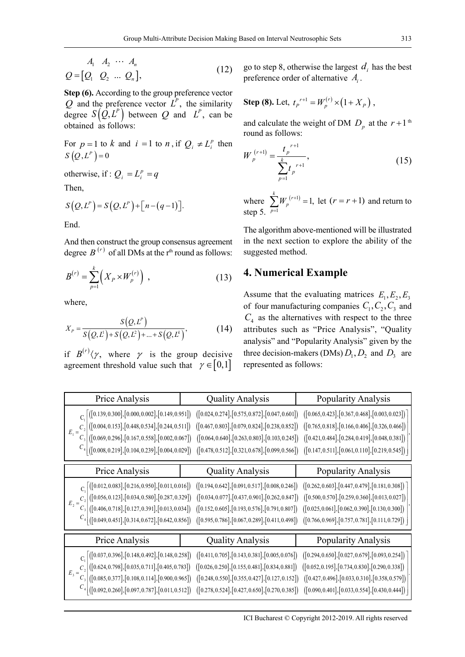$$
A_1 \quad A_2 \quad \cdots \quad A_n
$$
  

$$
Q = [Q_1 \quad Q_2 \quad \cdots \quad Q_n], \tag{12}
$$

**Step (6).** According to the group preference vector *Q* and the preference vector  $\hat{L}^P$ , the similarity degree  $S(Q, L^P)$  between *Q* and  $L^P$ , can be obtained as follows:

For  $p = 1$  to  $k$  and  $i = 1$  to  $n$ , if  $Q_i \neq L_i^p$  then  $S(Q, L^P) = 0$ 

otherwise, if :  $Q_i = L_i^p = q$ 

Then,

$$
S(Q, L^P) = S(Q, L^P) + [n - (q - 1)].
$$

End.

And then construct the group consensus agreement degree  $B^{(r)}$  of all DMs at the r<sup>th</sup> round as follows:

$$
B^{(r)} = \sum_{p=1}^{k} \left( X_p \times W_p^{(r)} \right) , \qquad (13)
$$

where,

$$
X_{P} = \frac{S(Q, L^{P})}{S(Q, L^{1}) + S(Q, L^{2}) + ... + S(Q, L^{k})},
$$
(14)

if  $B^{(r)}(\gamma)$ , where  $\gamma$  is the group decisive agreement threshold value such that  $\gamma \in [0,1]$ 

go to step 8, otherwise the largest  $d_i$  has the best preference order of alternative *Ai* .

**Step (8).** Let, 
$$
t_p^{r+1} = W_p^{(r)} \times (1 + X_p)
$$
,

and calculate the weight of DM  $D<sub>p</sub>$  at the  $r+1$ <sup>th</sup> round as follows:

$$
W_p^{(r+1)} = \frac{t_p^{r+1}}{\sum_{p=1}^k t_p^{r+1}},
$$
\n(15)

where  $\sum W_n^{(r+1)}$ 1  $\frac{r^{(r+1)}}{p} = 1,$ *k p W* =  $\sum W_p^{(r+1)} = 1$ , let  $(r = r + 1)$  and return to step 5.

The algorithm above-mentioned will be illustrated in the next section to explore the ability of the suggested method.

# **4. Numerical Example**

Assume that the evaluating matrices  $E_1, E_2, E_3$ of four manufacturing companies  $C_1, C_2, C_3$  and  $C_4$  as the alternatives with respect to the three attributes such as "Price Analysis", "Quality analysis" and "Popularity Analysis" given by the three decision-makers (DMs)  $D_1$ ,  $D_2$  and  $D_3$  are represented as follows:

| Price Analysis  | <b>Quality Analysis</b>                                                                                                                                                                                                                                                                                                                         | Popularity Analysis |
|-----------------|-------------------------------------------------------------------------------------------------------------------------------------------------------------------------------------------------------------------------------------------------------------------------------------------------------------------------------------------------|---------------------|
|                 | $\begin{array}{c} C_1 \left[\left([0.139, 0.300], [0.000, 0.002], [0.149, 0.951]\right) \right. \left. \left([0.024, 0.274], [0.575, 0.872], [0.047, 0.601]\right) \right. \left. \left([0.065, 0.423], [0.367, 0.468], [0.003, 0.023]\right) \right. \\ \left. \left. \begin{array}{c} C_2 \left[\left([0.004, 0.153], [0.448, 0.534], [0.244$ |                     |
| Price Analysis  | <b>Quality Analysis</b>                                                                                                                                                                                                                                                                                                                         | Popularity Analysis |
| $E_2 = C_3 / r$ | $\begin{bmatrix} C_1\Big[ \big( [0.012, 0.083], [0.216, 0.950], [0.011, 0.016] \big) & \big( [0.194, 0.642], [0.091, 0.517], [0.008, 0.246] \big) & \big( [0.262, 0.603], [0.447, 0.479], [0.181, 0.308] \big) \\ - C_2\Big[ \big( [0.056, 0.123], [0.034, 0.580], [0.287, 0.329] \big) & \big( [0$                                             |                     |
| Price Analysis  | <b>Quality Analysis</b>                                                                                                                                                                                                                                                                                                                         | Popularity Analysis |
| $E_3 = C_3  t$  | $\begin{bmatrix} C_1\Big[ \big( [0.037, 0.396],[0.148, 0.492],[0.148, 0.258]\big) & \big( [0.411, 0.705],[0.143, 0.381],[0.005, 0.076]\big) & \big( [0.294, 0.650],[0.027, 0.679],[0.093, 0.254]\big) \\ C_2\Big[ \big( [0.624, 0.798],[0.035, 0.711],[0.405, 0.783]\big) & \big( [0.026, 0.250],[0$                                            |                     |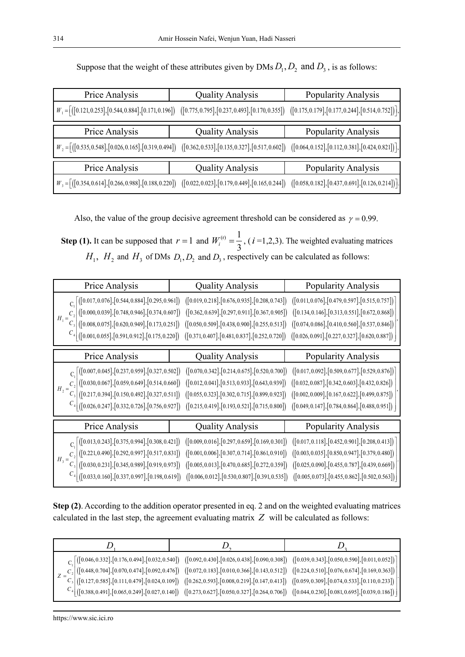| Price Analysis                                                                                                                                                                                                                                                                                                                        | <b>Quality Analysis</b> | Popularity Analysis |  |
|---------------------------------------------------------------------------------------------------------------------------------------------------------------------------------------------------------------------------------------------------------------------------------------------------------------------------------------|-------------------------|---------------------|--|
| $W_1 = [(0.121, 0.253], [0.544, 0.884], [0.171, 0.196])$ $([0.775, 0.795], [0.237, 0.493], [0.170, 0.355])$ $([0.175, 0.179], [0.177, 0.244], [0.514, 0.752]]$                                                                                                                                                                        |                         |                     |  |
| Price Analysis                                                                                                                                                                                                                                                                                                                        | <b>Quality Analysis</b> | Popularity Analysis |  |
| $W_2 = \left[ \left( \left[ 0.535, 0.548 \right], \left[ 0.026, 0.165 \right], \left[ 0.319, 0.494 \right] \right) \right] \left[ \left[ 0.362, 0.533 \right], \left[ 0.135, 0.327 \right], \left[ 0.517, 0.602 \right] \right] \left[ \left[ 0.064, 0.152 \right], \left[ 0.112, 0.381 \right], \left[ 0.424, 0.821 \right] \right]$ |                         |                     |  |
|                                                                                                                                                                                                                                                                                                                                       |                         |                     |  |
| Price Analysis                                                                                                                                                                                                                                                                                                                        | <b>Quality Analysis</b> | Popularity Analysis |  |

Suppose that the weight of these attributes given by DMs  $D_1, D_2$  and  $D_3$ , is as follows:

Also, the value of the group decisive agreement threshold can be considered as  $\gamma = 0.99$ .

**Step (1).** It can be supposed that  $r = 1$  and  $W_i^{(r)} = \frac{1}{2}$  $W_i^{(r)} = \frac{1}{3}$ , (*i*=1,2,3). The weighted evaluating matrices  $H_1$ ,  $H_2$  and  $H_3$  of DMs  $D_1, D_2$  and  $D_3$ , respectively can be calculated as follows:

| Price Analysis | <b>Quality Analysis</b>                                                                                                                                                                                                                                                                                                                                                                 | Popularity Analysis |  |
|----------------|-----------------------------------------------------------------------------------------------------------------------------------------------------------------------------------------------------------------------------------------------------------------------------------------------------------------------------------------------------------------------------------------|---------------------|--|
|                | $\label{eq:G1} \begin{array}{ll} \begin{array}{c} \mbox{C}_1 \left[\left([0.017,0.076],[0.544,0.884],[0.295,0.961]\right) \right. \left([0.019,0.218],[0.676,0.935],[0.208,0.743]\right) \right. \left.\left.\left.\left([0.011,0.076],[0.479,0.597],[0.515,0.757]\right) \right] \right. \\ \left.\left. \begin{array}{c} \mbox{C}_2 \left[\left([0.000,0.039],[0.748,0.946$           |                     |  |
| Price Analysis | <b>Quality Analysis</b>                                                                                                                                                                                                                                                                                                                                                                 | Popularity Analysis |  |
|                | $\label{eq:G1} \begin{array}{c} \displaystyle C_1 \left[\left([0.007,0.045],[0.237,0.959],[0.327,0.502]\right) \right. \left.\left.\left.\left([0.070,0.342],[0.214,0.675],[0.520,0.700]\right) \right. \left.\left.\left([0.017,0.092],[0.509,0.677],[0.529,0.876]\right) \right.\right] \right. \\ \left.\left. \displaystyle C_2 \left[\left([0.030,0.067],[0.059,0.649],[0.514,0.6$ |                     |  |
| Price Analysis | <b>Quality Analysis</b>                                                                                                                                                                                                                                                                                                                                                                 | Popularity Analysis |  |
|                | $\label{eq:G1} \begin{array}{ll} C_1 \left[\left([0.013, 0.243], [0.375, 0.994], [0.308, 0.421]\right) \right. & \left([0.009, 0.016], [0.297, 0.659], [0.169, 0.301]\right) \left. \left([0.017, 0.118], [0.452, 0.901], [0.208, 0.413]\right) \right] \\ H_3 = C_2 \left[\left([0.221, 0.490], [0.292, 0.997], [0.517, 0.83$                                                          |                     |  |

**Step (2)**. According to the addition operator presented in eq. 2 and on the weighted evaluating matrices calculated in the last step, the agreement evaluating matrix *Z* will be calculated as follows:

| $\left.\left.\left.\left.\left.\left[\left([0.046,0.332],[0.176,0.494],[0.032,0.540]\right)\right.\right.\\ \left.\left.\left([0.092,0.430],[0.026,0.438],[0.090,0.308]\right)\right.\right.\right.\right.\left.\left.\left.\left.\left([0.039,0.343],[0.050,0.590],[0.011,0.052]\right)\right]\right.\right\right\}$<br>$=\frac{C_2}{C_3}\Bigg \big([0.448, 0.704], [0.070, 0.474], [0.092, 0.476]\big) \quad \big([0.072, 0.183], [0.010, 0.366], [0.143, 0.512]\big) \quad \big([0.224, 0.510], [0.076, 0.674], [0.169, 0.363]\big)\Bigg _{\big([0.127, 0.585], [0.111, 0.479], [0.024, 0.109]\big)} \quad \big([0.262, 0.5$<br>$\begin{bmatrix} C_4 \end{bmatrix}$ ([0.388, 0.491], [0.065, 0.249], [0.027, 0.140]) ([0.273, 0.627], [0.050, 0.327], [0.264, 0.706]) ([0.044, 0.230], [0.081, 0.695], [0.039, 0.186]) |  |
|---------------------------------------------------------------------------------------------------------------------------------------------------------------------------------------------------------------------------------------------------------------------------------------------------------------------------------------------------------------------------------------------------------------------------------------------------------------------------------------------------------------------------------------------------------------------------------------------------------------------------------------------------------------------------------------------------------------------------------------------------------------------------------------------------------------------------|--|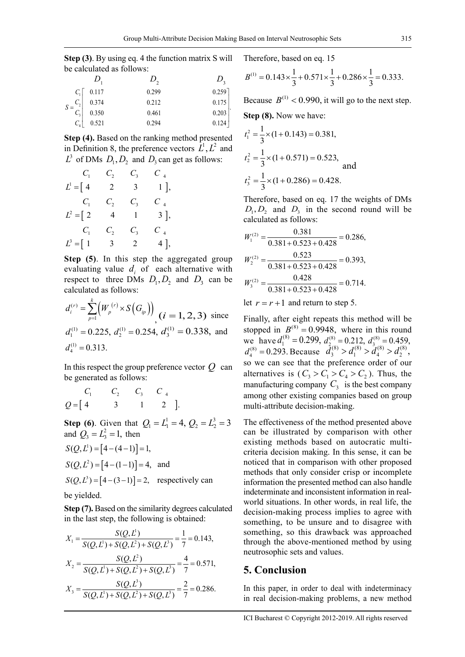**Step (3)**. By using eq. 4 the function matrix S will be calculated as follows:

|                     |       | D.    | D.        |
|---------------------|-------|-------|-----------|
| $C_1$               | 0.117 | 0.299 | $0.259$ ] |
| $S = \frac{C_2}{A}$ | 0.374 | 0.212 | 0.175     |
| $C_{3}$             | 0.350 | 0.461 | 0.203     |
|                     | 0.521 | 0.294 | 0.124     |

**Step (4).** Based on the ranking method presented in Definition 8, the preference vectors  $L^1, L^2$  and  $L^3$  of DMs  $D_1, D_2$  and  $D_3$  can get as follows:

$$
C_1 \t C_2 \t C_3 \t C_4
$$
\n
$$
L^1 = \begin{bmatrix} 4 & 2 & 3 & 1 \end{bmatrix},
$$
\n
$$
C_1 \t C_2 \t C_3 \t C_4
$$
\n
$$
L^2 = \begin{bmatrix} 2 & 4 & 1 & 3 \end{bmatrix},
$$
\n
$$
C_1 \t C_2 \t C_3 \t C_4
$$
\n
$$
L^3 = \begin{bmatrix} 1 & 3 & 2 & 4 \end{bmatrix},
$$

**Step (5)**. In this step the aggregated group evaluating value  $d_i$  of each alternative with respect to three DMs  $D_1, D_2$  and  $D_3$  can be calculated as follows:

$$
d_i^{(r)} = \sum_{p=1}^k \left( W_p^{(r)} \times S\left(G_p\right) \right) \quad (i = 1, 2, 3) \text{ since}
$$
\n
$$
d_1^{(1)} = 0.225, \ d_2^{(1)} = 0.254, \ d_3^{(1)} = 0.338, \text{ and}
$$
\n
$$
d_4^{(1)} = 0.313.
$$

In this respect the group preference vector  $Q$  can be generated as follows:

$$
C_1 \t C_2 \t C_3 \t C_4
$$
  
Q = [4 \t 3 \t 1 \t 2].

**Step (6)**. Given that  $Q_1 = L_1^1 = 4$ ,  $Q_2 = L_2^3 = 3$ and  $Q_3 = L_3^2 = 1$ , then  $S(Q, L^{1}) = [4 - (4 - 1)] = 1,$  $S(Q, L^2) = [4 - (1 - 1)] = 4$ , and

$$
S(Q, L3) = [4 - (3 - 1)] = 2
$$
, respectively can be yielded.

**Step (7).** Based on the similarity degrees calculated in the last step, the following is obtained:

$$
X_1 = \frac{S(Q, L^1)}{S(Q, L^1) + S(Q, L^2) + S(Q, L^3)} = \frac{1}{7} = 0.143,
$$
  
\n
$$
X_2 = \frac{S(Q, L^2)}{S(Q, L^1) + S(Q, L^2) + S(Q, L^3)} = \frac{4}{7} = 0.571,
$$
  
\n
$$
X_3 = \frac{S(Q, L^3)}{S(Q, L^1) + S(Q, L^2) + S(Q, L^3)} = \frac{2}{7} = 0.286.
$$

Therefore, based on eq. 15

$$
B^{(1)} = 0.143 \times \frac{1}{3} + 0.571 \times \frac{1}{3} + 0.286 \times \frac{1}{3} = 0.333.
$$

Because  $B^{(1)}$  < 0.990, it will go to the next step. **Step (8).** Now we have:

$$
t_1^2 = \frac{1}{3} \times (1 + 0.143) = 0.381,
$$
  
\n
$$
t_2^2 = \frac{1}{3} \times (1 + 0.571) = 0.523,
$$
  
\nand  
\n
$$
t_3^2 = \frac{1}{3} \times (1 + 0.286) = 0.428.
$$

Therefore, based on eq. 17 the weights of DMs  $D_1, D_2$  and  $D_3$  in the second round will be calculated as follows:

$$
W_1^{(2)} = \frac{0.381}{0.381 + 0.523 + 0.428} = 0.286,
$$
  
\n
$$
W_2^{(2)} = \frac{0.523}{0.381 + 0.523 + 0.428} = 0.393,
$$
  
\n
$$
W_3^{(2)} = \frac{0.428}{0.381 + 0.523 + 0.428} = 0.714.
$$

let  $r = r + 1$  and return to step 5.

Finally, after eight repeats this method will be stopped in  $B^{(8)} = 0.9948$ , where in this round we have  $d_1^{(8)} = 0.299$ ,  $d_2^{(8)} = 0.212$ ,  $d_3^{(8)} = 0.459$ ,  $d_4^{(8)} = 0.293$ . Because  $d_3^{(8)} > d_1^{(8)} > d_4^{(8)} > d_2^{(8)}$ , so we can see that the preference order of our alternatives is  $(C_1 > C_1 > C_4 > C_2)$ . Thus, the manufacturing company  $C_3$  is the best company among other existing companies based on group multi-attribute decision-making.

The effectiveness of the method presented above can be illustrated by comparison with other existing methods based on autocratic multicriteria decision making. In this sense, it can be noticed that in comparison with other proposed methods that only consider crisp or incomplete information the presented method can also handle indeterminate and inconsistent information in realworld situations. In other words, in real life, the decision-making process implies to agree with something, to be unsure and to disagree with something, so this drawback was approached through the above-mentioned method by using neutrosophic sets and values.

### **5. Conclusion**

In this paper, in order to deal with indeterminacy in real decision-making problems, a new method